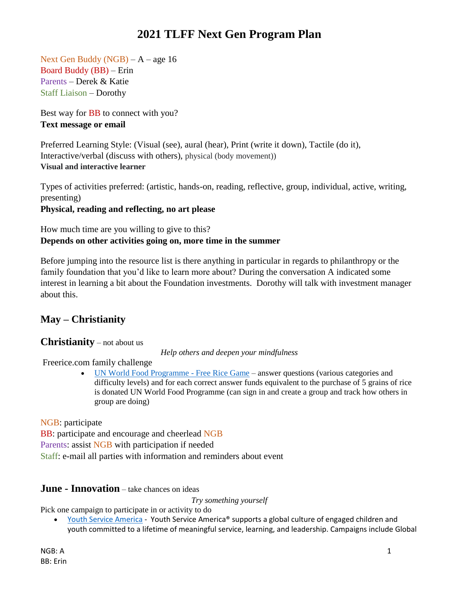Next Gen Buddy (NGB) – A – age 16 Board Buddy (BB) – Erin Parents – Derek & Katie Staff Liaison – Dorothy

Best way for **BB** to connect with you? **Text message or email**

Preferred Learning Style: (Visual (see), aural (hear), Print (write it down), Tactile (do it), Interactive/verbal (discuss with others), physical (body movement)) **Visual and interactive learner**

Types of activities preferred: (artistic, hands-on, reading, reflective, group, individual, active, writing, presenting) **Physical, reading and reflecting, no art please**

How much time are you willing to give to this? **Depends on other activities going on, more time in the summer** 

Before jumping into the resource list is there anything in particular in regards to philanthropy or the family foundation that you'd like to learn more about? During the conversation A indicated some interest in learning a bit about the Foundation investments. Dorothy will talk with investment manager about this.

### **May – Christianity**

### **Christianity** – not about us

*Help others and deepen your mindfulness*

Freerice.com family challenge

• [UN World Food Programme -](http://www.freerice.com/) Free Rice Game – answer questions (various categories and difficulty levels) and for each correct answer funds equivalent to the purchase of 5 grains of rice is donated UN World Food Programme (can sign in and create a group and track how others in group are doing)

NGB: participate

BB: participate and encourage and cheerlead NGB Parents: assist NGB with participation if needed Staff: e-mail all parties with information and reminders about event

### **June - Innovation** – take chances on ideas

*Try something yourself*

Pick one campaign to participate in or activity to do

• [Youth Service America](https://ysa.org/) - Youth Service America® supports a global culture of engaged children and youth committed to a lifetime of meaningful service, learning, and leadership. Campaigns include Global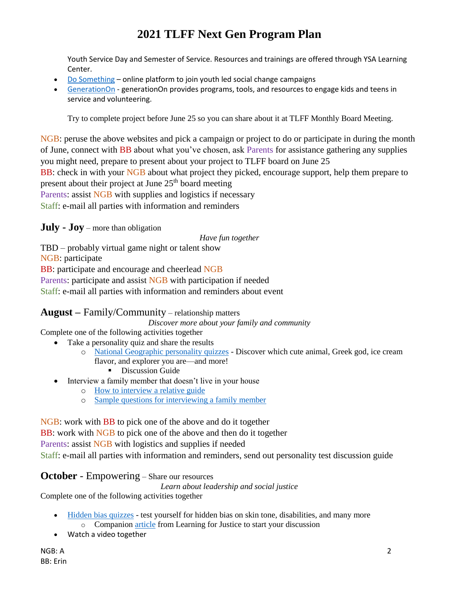Youth Service Day and Semester of Service. Resources and trainings are offered through YSA Learning Center.

- [Do Something](http://www.dosomething.org/) online platform to join youth led social change campaigns
- [GenerationOn](https://generationon.org/) generationOn provides programs, tools, and resources to engage kids and teens in service and volunteering.

Try to complete project before June 25 so you can share about it at TLFF Monthly Board Meeting.

NGB: peruse the above websites and pick a campaign or project to do or participate in during the month of June, connect with BB about what you've chosen, ask Parents for assistance gathering any supplies you might need, prepare to present about your project to TLFF board on June 25 BB: check in with your NGB about what project they picked, encourage support, help them prepare to present about their project at June  $25<sup>th</sup>$  board meeting Parents: assist NGB with supplies and logistics if necessary Staff: e-mail all parties with information and reminders

**July - Joy** – more than obligation

*Have fun together*

TBD – probably virtual game night or talent show

NGB: participate

BB: participate and encourage and cheerlead NGB

Parents: participate and assist NGB with participation if needed

Staff: e-mail all parties with information and reminders about event

### **August –** Family/Community – relationship matters

*Discover more about your family and community*

Complete one of the following activities together

- Take a personality quiz and share the results
	- o [National Geographic personality quizzes](https://kids.nationalgeographic.com/games/personality-quizzes) Discover which cute animal, Greek god, ice cream flavor, and explorer you are—and more!
		- **•** Discussion Guide
- Interview a family member that doesn't live in your house
	- o [How to interview a relative guide](http://www.readwritethink.org/files/resources/lesson_images/lesson805/interview.pdf)
	- o [Sample questions for interviewing a family member](https://rulethisroost.com/65-interview-questions-ask-parents/)

NGB: work with BB to pick one of the above and do it together

BB: work with NGB to pick one of the above and then do it together

Parents: assist NGB with logistics and supplies if needed

Staff: e-mail all parties with information and reminders, send out personality test discussion guide

### **October** - Empowering – Share our resources

*Learn about leadership and social justice*

Complete one of the following activities together

- [Hidden bias quizzes](https://implicit.harvard.edu/implicit/takeatest.html) test yourself for hidden bias on skin tone, disabilities, and many more
	- o Companion [article](https://www.learningforjustice.org/professional-development/test-yourself-for-hidden-bias) from Learning for Justice to start your discussion
- Watch a video together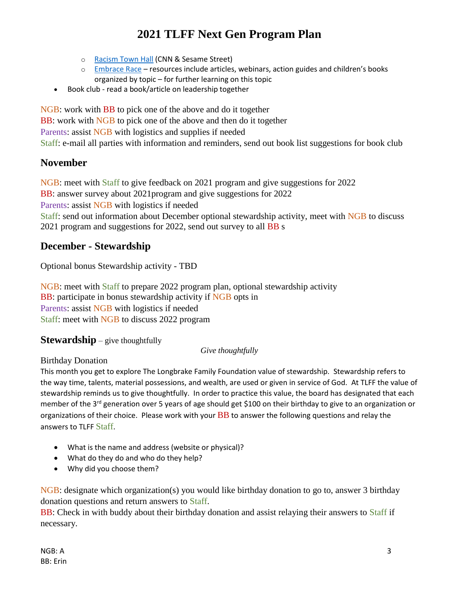- o [Racism Town Hall](https://www.cnn.com/2020/06/06/app-news-section/cnn-sesame-street-race-town-hall-app-june-6-2020-app/index.html) (CNN & Sesame Street)
- o [Embrace Race](http://www.embracerace.org/) resources include articles, webinars, action guides and children's books organized by topic – for further learning on this topic
- Book club read a book/article on leadership together

NGB: work with BB to pick one of the above and do it together BB: work with NGB to pick one of the above and then do it together Parents: assist NGB with logistics and supplies if needed Staff: e-mail all parties with information and reminders, send out book list suggestions for book club

### **November**

NGB: meet with Staff to give feedback on 2021 program and give suggestions for 2022 BB: answer survey about 2021program and give suggestions for 2022 Parents: assist NGB with logistics if needed Staff: send out information about December optional stewardship activity, meet with NGB to discuss 2021 program and suggestions for 2022, send out survey to all BB s

### **December - Stewardship**

Optional bonus Stewardship activity - TBD

NGB: meet with Staff to prepare 2022 program plan, optional stewardship activity BB: participate in bonus stewardship activity if NGB opts in Parents: assist NGB with logistics if needed Staff: meet with NGB to discuss 2022 program

### **Stewardship** – give thoughtfully

#### *Give thoughtfully*

### Birthday Donation

This month you get to explore The Longbrake Family Foundation value of stewardship. Stewardship refers to the way time, talents, material possessions, and wealth, are used or given in service of God. At TLFF the value of stewardship reminds us to give thoughtfully. In order to practice this value, the board has designated that each member of the 3<sup>rd</sup> generation over 5 years of age should get \$100 on their birthday to give to an organization or organizations of their choice. Please work with your  $BB$  to answer the following questions and relay the answers to TLFF Staff.

- What is the name and address (website or physical)?
- What do they do and who do they help?
- Why did you choose them?

NGB: designate which organization(s) you would like birthday donation to go to, answer 3 birthday donation questions and return answers to Staff.

BB: Check in with buddy about their birthday donation and assist relaying their answers to Staff if necessary.